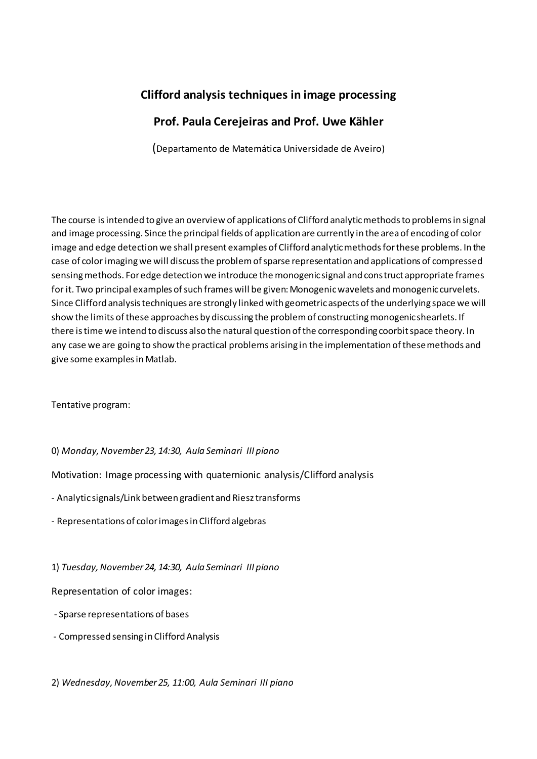## **Clifford analysis techniques in image processing**

## **Prof. Paula Cerejeiras and Prof. Uwe Kähler**

(Departamento de Matemática Universidade de Aveiro)

The course is intended to give an overview of applications of Clifford analytic methods to problems in signal and image processing. Since the principal fields of application are currently in the area of encoding of color image and edge detection we shall present examples of Clifford analytic methods for these problems. In the case of color imaging we will discuss the problem of sparse representation and applications of compressed sensing methods. For edge detection we introduce the monogenic signal and construct appropriate frames for it. Two principal examples of such frames will be given: Monogenic wavelets and monogenic curvelets. Since Clifford analysis techniques are strongly linked with geometric aspects of the underlying space we will show the limits of these approaches by discussing the problem of constructing monogenic shearlets. If there is time we intend to discuss also the natural question of the corresponding coorbit space theory. In any case we are going to show the practical problems arising in the implementation of these methods and give some examples in Matlab.

Tentative program:

0) *Monday, November 23, 14:30, Aula Seminari III piano*

Motivation: Image processing with quaternionic analysis/Clifford analysis

- Analytic signals/Link between gradient and Riesz transforms
- Representations of color images in Clifford algebras

1) *Tuesday, November 24, 14:30, Aula Seminari III piano*

Representation of color images:

- Sparse representations of bases
- Compressed sensing in Clifford Analysis

2) *Wednesday, November 25, 11:00, Aula Seminari III piano*